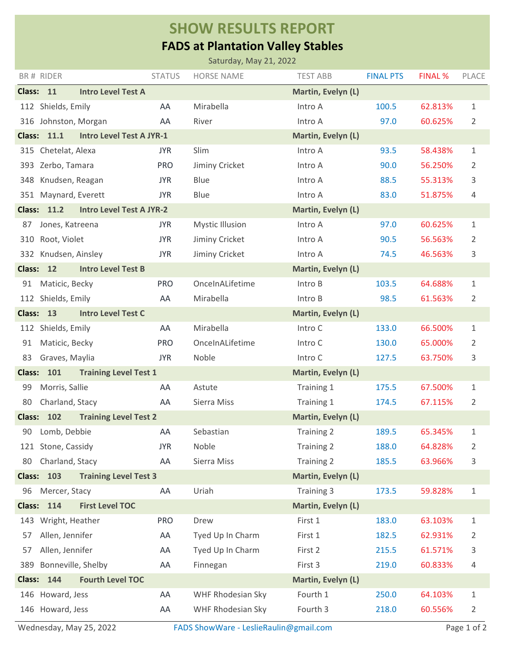## **SHOW RESULTS REPORT**

## **FADS at Plantation Valley Stables**

| Saturday, May 21, 2022                                                      |                                                                        |                                 |               |                        |                    |                  |                |                |  |  |  |
|-----------------------------------------------------------------------------|------------------------------------------------------------------------|---------------------------------|---------------|------------------------|--------------------|------------------|----------------|----------------|--|--|--|
|                                                                             | BR# RIDER                                                              |                                 | <b>STATUS</b> | <b>HORSE NAME</b>      | <b>TEST ABB</b>    | <b>FINAL PTS</b> | <b>FINAL %</b> | PLACE          |  |  |  |
| Class: 11                                                                   |                                                                        | <b>Intro Level Test A</b>       |               |                        | Martin, Evelyn (L) |                  |                |                |  |  |  |
|                                                                             | 112 Shields, Emily                                                     |                                 | AA            | Mirabella              | Intro A            | 100.5            | 62.813%        | 1              |  |  |  |
| 316                                                                         | Johnston, Morgan                                                       |                                 | AA            | River                  | Intro A            | 97.0             | 60.625%        | 2              |  |  |  |
| <b>Class: 11.1</b><br><b>Intro Level Test A JYR-1</b><br>Martin, Evelyn (L) |                                                                        |                                 |               |                        |                    |                  |                |                |  |  |  |
|                                                                             | 315 Chetelat, Alexa                                                    |                                 | <b>JYR</b>    | Slim                   | Intro A            | 93.5             | 58.438%        | 1              |  |  |  |
| 393                                                                         | Zerbo, Tamara                                                          |                                 | <b>PRO</b>    | Jiminy Cricket         | Intro A            | 90.0             | 56.250%        | $\overline{2}$ |  |  |  |
| 348                                                                         | Knudsen, Reagan                                                        |                                 | <b>JYR</b>    | Blue                   | Intro A            | 88.5             | 55.313%        | 3              |  |  |  |
|                                                                             | 351 Maynard, Everett                                                   |                                 | <b>JYR</b>    | Blue                   | Intro A            | 83.0             | 51.875%        | 4              |  |  |  |
|                                                                             | <b>Class: 11.2</b>                                                     | <b>Intro Level Test A JYR-2</b> |               |                        | Martin, Evelyn (L) |                  |                |                |  |  |  |
| 87                                                                          | Jones, Katreena                                                        |                                 | <b>JYR</b>    | <b>Mystic Illusion</b> | Intro A            | 97.0             | 60.625%        | $\mathbf{1}$   |  |  |  |
| 310                                                                         | Root, Violet                                                           |                                 | <b>JYR</b>    | Jiminy Cricket         | Intro A            | 90.5             | 56.563%        | 2              |  |  |  |
|                                                                             | 332 Knudsen, Ainsley                                                   |                                 | <b>JYR</b>    | Jiminy Cricket         | Intro A            | 74.5             | 46.563%        | 3              |  |  |  |
| <b>Class:</b>                                                               | <b>12</b>                                                              | <b>Intro Level Test B</b>       |               |                        | Martin, Evelyn (L) |                  |                |                |  |  |  |
| 91                                                                          | Maticic, Becky                                                         |                                 | <b>PRO</b>    | OnceInALifetime        | Intro B            | 103.5            | 64.688%        | 1              |  |  |  |
|                                                                             | 112 Shields, Emily                                                     |                                 | AA            | Mirabella              | Intro B            | 98.5             | 61.563%        | 2              |  |  |  |
|                                                                             | <b>Class:</b><br>13<br><b>Intro Level Test C</b><br>Martin, Evelyn (L) |                                 |               |                        |                    |                  |                |                |  |  |  |
|                                                                             | 112 Shields, Emily                                                     |                                 | AA            | Mirabella              | Intro C            | 133.0            | 66.500%        | 1              |  |  |  |
| 91                                                                          | Maticic, Becky                                                         |                                 | <b>PRO</b>    | OnceInALifetime        | Intro C            | 130.0            | 65.000%        | $\overline{2}$ |  |  |  |
| 83                                                                          | Graves, Maylia                                                         |                                 | <b>JYR</b>    | Noble                  | Intro C            | 127.5            | 63.750%        | 3              |  |  |  |
| <b>Class:</b>                                                               | 101                                                                    | <b>Training Level Test 1</b>    |               | Martin, Evelyn (L)     |                    |                  |                |                |  |  |  |
| 99                                                                          | Morris, Sallie                                                         |                                 | AA            | Astute                 | Training 1         | 175.5            | 67.500%        | 1              |  |  |  |
| 80                                                                          | Charland, Stacy                                                        |                                 | AA            | Sierra Miss            | Training 1         | 174.5            | 67.115%        | $\overline{2}$ |  |  |  |
| <b>Class:</b>                                                               | 102                                                                    | <b>Training Level Test 2</b>    |               |                        | Martin, Evelyn (L) |                  |                |                |  |  |  |
| 90                                                                          | Lomb, Debbie                                                           |                                 | AA            | Sebastian              | Training 2         | 189.5            | 65.345%        | 1              |  |  |  |
|                                                                             | 121 Stone, Cassidy                                                     |                                 | <b>JYR</b>    | Noble                  | Training 2         | 188.0            | 64.828%        | 2              |  |  |  |
| 80                                                                          | Charland, Stacy                                                        |                                 | AA            | Sierra Miss            | Training 2         | 185.5            | 63.966%        | 3              |  |  |  |
| <b>Class:</b>                                                               | 103                                                                    | <b>Training Level Test 3</b>    |               |                        | Martin, Evelyn (L) |                  |                |                |  |  |  |
| 96                                                                          | Mercer, Stacy                                                          |                                 | AA            | Uriah                  | Training 3         | 173.5            | 59.828%        | $\mathbf{1}$   |  |  |  |
| <b>Class:</b>                                                               | 114                                                                    | <b>First Level TOC</b>          |               |                        | Martin, Evelyn (L) |                  |                |                |  |  |  |
| 143                                                                         | Wright, Heather                                                        |                                 | <b>PRO</b>    | Drew                   | First 1            | 183.0            | 63.103%        | 1              |  |  |  |
| 57                                                                          | Allen, Jennifer                                                        |                                 | AA            | Tyed Up In Charm       | First 1            | 182.5            | 62.931%        | 2              |  |  |  |
| 57                                                                          | Allen, Jennifer                                                        |                                 | AA            | Tyed Up In Charm       | First 2            | 215.5            | 61.571%        | 3              |  |  |  |
| 389                                                                         | Bonneville, Shelby                                                     |                                 | AA            | Finnegan               | First 3            | 219.0            | 60.833%        | 4              |  |  |  |
| <b>Class:</b>                                                               | 144                                                                    | <b>Fourth Level TOC</b>         |               |                        | Martin, Evelyn (L) |                  |                |                |  |  |  |
|                                                                             | 146 Howard, Jess                                                       |                                 | AA            | WHF Rhodesian Sky      | Fourth 1           | 250.0            | 64.103%        | 1              |  |  |  |
|                                                                             | 146 Howard, Jess                                                       |                                 | AA            | WHF Rhodesian Sky      | Fourth 3           | 218.0            | 60.556%        | 2              |  |  |  |